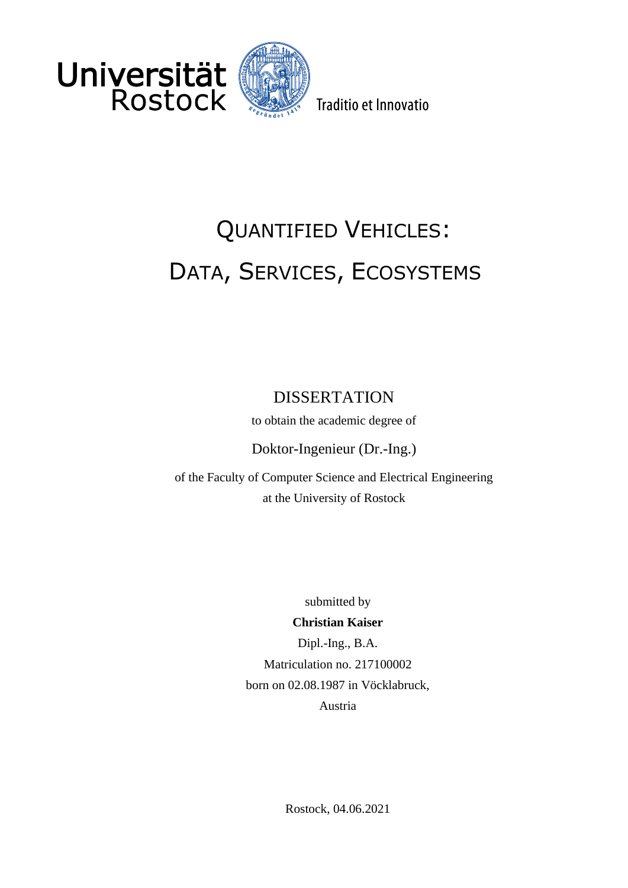



Traditio et Innovatio

# QUANTIFIED VEHICLES: DATA, SERVICES, ECOSYSTEMS

## DISSERTATION

to obtain the academic degree of

Doktor-Ingenieur (Dr.-Ing.)

of the Faculty of Computer Science and Electrical Engineering at the University of Rostock

submitted by

#### **Christian Kaiser**

Dipl.-Ing., B.A. Matriculation no. 217100002 born on 02.08.1987 in Vöcklabruck, Austria

Rostock, 04.06.2021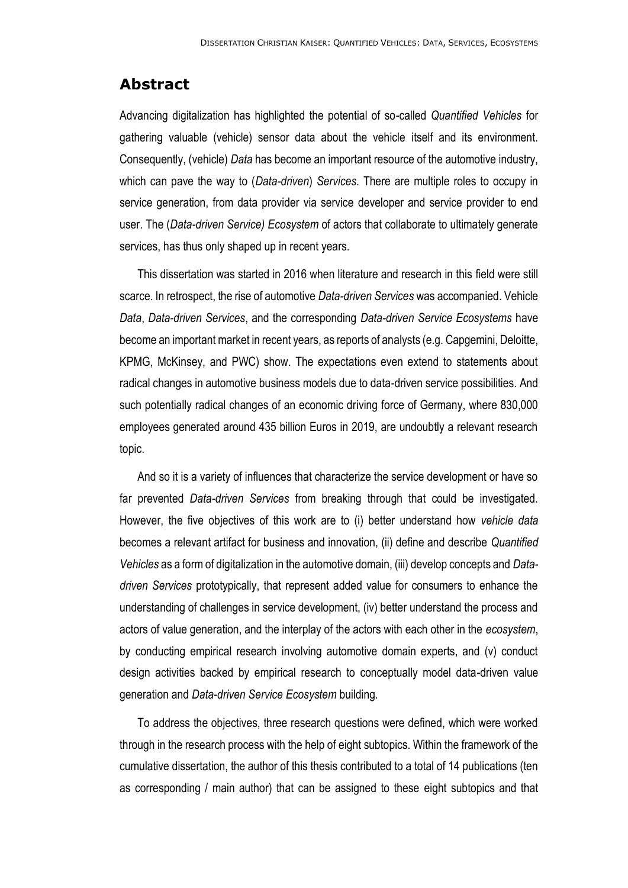### **Abstract**

Advancing digitalization has highlighted the potential of so-called *Quantified Vehicles* for gathering valuable (vehicle) sensor data about the vehicle itself and its environment. Consequently, (vehicle) *Data* has become an important resource of the automotive industry, which can pave the way to (*Data-driven*) *Services*. There are multiple roles to occupy in service generation, from data provider via service developer and service provider to end user. The (*Data-driven Service) Ecosystem* of actors that collaborate to ultimately generate services, has thus only shaped up in recent years.

This dissertation was started in 2016 when literature and research in this field were still scarce. In retrospect, the rise of automotive *Data-driven Services* was accompanied. Vehicle *Data*, *Data-driven Services*, and the corresponding *Data-driven Service Ecosystems* have become an important market in recent years, as reports of analysts (e.g. Capgemini, Deloitte, KPMG, McKinsey, and PWC) show. The expectations even extend to statements about radical changes in automotive business models due to data-driven service possibilities. And such potentially radical changes of an economic driving force of Germany, where 830,000 employees generated around 435 billion Euros in 2019, are undoubtly a relevant research topic.

And so it is a variety of influences that characterize the service development or have so far prevented *Data-driven Services* from breaking through that could be investigated. However, the five objectives of this work are to (i) better understand how *vehicle data* becomes a relevant artifact for business and innovation, (ii) define and describe *Quantified Vehicles* as a form of digitalization in the automotive domain, (iii) develop concepts and *Datadriven Services* prototypically, that represent added value for consumers to enhance the understanding of challenges in service development, (iv) better understand the process and actors of value generation, and the interplay of the actors with each other in the *ecosystem*, by conducting empirical research involving automotive domain experts, and (v) conduct design activities backed by empirical research to conceptually model data-driven value generation and *Data-driven Service Ecosystem* building.

To address the objectives, three research questions were defined, which were worked through in the research process with the help of eight subtopics. Within the framework of the cumulative dissertation, the author of this thesis contributed to a total of 14 publications (ten as corresponding / main author) that can be assigned to these eight subtopics and that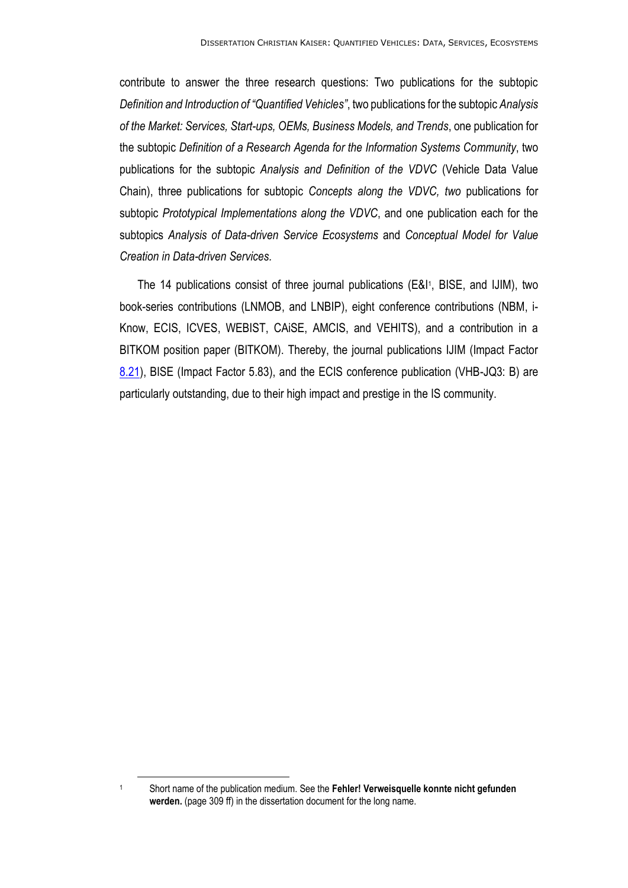contribute to answer the three research questions: Two publications for the subtopic *Definition and Introduction of "Quantified Vehicles"*, two publications for the subtopic *Analysis of the Market: Services, Start-ups, OEMs, Business Models, and Trends*, one publication for the subtopic *Definition of a Research Agenda for the Information Systems Community*, two publications for the subtopic *Analysis and Definition of the VDVC* (Vehicle Data Value Chain), three publications for subtopic *Concepts along the VDVC, two* publications for subtopic *Prototypical Implementations along the VDVC*, and one publication each for the subtopics *Analysis of Data-driven Service Ecosystems* and *Conceptual Model for Value Creation in Data-driven Services.*

The 14 publications consist of three journal publications (E&I<sup>1</sup>, BISE, and IJIM), two book-series contributions (LNMOB, and LNBIP), eight conference contributions (NBM, i-Know, ECIS, ICVES, WEBIST, CAiSE, AMCIS, and VEHITS), and a contribution in a BITKOM position paper (BITKOM). Thereby, the journal publications IJIM (Impact Factor [8.21\)](javascript:;), BISE (Impact Factor 5.83), and the ECIS conference publication (VHB-JQ3: B) are particularly outstanding, due to their high impact and prestige in the IS community.

<sup>1</sup> Short name of the publication medium. See the **Fehler! Verweisquelle konnte nicht gefunden werden.** (page 309 ff) in the dissertation document for the long name.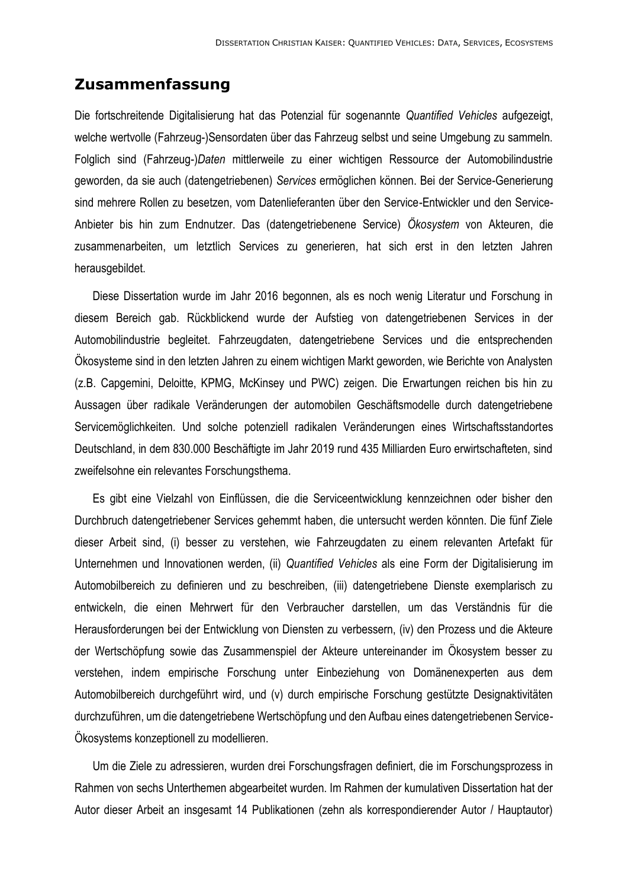#### **Zusammenfassung**

Die fortschreitende Digitalisierung hat das Potenzial für sogenannte *Quantified Vehicles* aufgezeigt, welche wertvolle (Fahrzeug-)Sensordaten über das Fahrzeug selbst und seine Umgebung zu sammeln. Folglich sind (Fahrzeug-)*Daten* mittlerweile zu einer wichtigen Ressource der Automobilindustrie geworden, da sie auch (datengetriebenen) *Services* ermöglichen können. Bei der Service-Generierung sind mehrere Rollen zu besetzen, vom Datenlieferanten über den Service-Entwickler und den Service-Anbieter bis hin zum Endnutzer. Das (datengetriebenene Service) *Ökosystem* von Akteuren, die zusammenarbeiten, um letztlich Services zu generieren, hat sich erst in den letzten Jahren herausgebildet.

Diese Dissertation wurde im Jahr 2016 begonnen, als es noch wenig Literatur und Forschung in diesem Bereich gab. Rückblickend wurde der Aufstieg von datengetriebenen Services in der Automobilindustrie begleitet. Fahrzeugdaten, datengetriebene Services und die entsprechenden Ökosysteme sind in den letzten Jahren zu einem wichtigen Markt geworden, wie Berichte von Analysten (z.B. Capgemini, Deloitte, KPMG, McKinsey und PWC) zeigen. Die Erwartungen reichen bis hin zu Aussagen über radikale Veränderungen der automobilen Geschäftsmodelle durch datengetriebene Servicemöglichkeiten. Und solche potenziell radikalen Veränderungen eines Wirtschaftsstandortes Deutschland, in dem 830.000 Beschäftigte im Jahr 2019 rund 435 Milliarden Euro erwirtschafteten, sind zweifelsohne ein relevantes Forschungsthema.

Es gibt eine Vielzahl von Einflüssen, die die Serviceentwicklung kennzeichnen oder bisher den Durchbruch datengetriebener Services gehemmt haben, die untersucht werden könnten. Die fünf Ziele dieser Arbeit sind, (i) besser zu verstehen, wie Fahrzeugdaten zu einem relevanten Artefakt für Unternehmen und Innovationen werden, (ii) *Quantified Vehicles* als eine Form der Digitalisierung im Automobilbereich zu definieren und zu beschreiben, (iii) datengetriebene Dienste exemplarisch zu entwickeln, die einen Mehrwert für den Verbraucher darstellen, um das Verständnis für die Herausforderungen bei der Entwicklung von Diensten zu verbessern, (iv) den Prozess und die Akteure der Wertschöpfung sowie das Zusammenspiel der Akteure untereinander im Ökosystem besser zu verstehen, indem empirische Forschung unter Einbeziehung von Domänenexperten aus dem Automobilbereich durchgeführt wird, und (v) durch empirische Forschung gestützte Designaktivitäten durchzuführen, um die datengetriebene Wertschöpfung und den Aufbau eines datengetriebenen Service-Ökosystems konzeptionell zu modellieren.

Um die Ziele zu adressieren, wurden drei Forschungsfragen definiert, die im Forschungsprozess in Rahmen von sechs Unterthemen abgearbeitet wurden. Im Rahmen der kumulativen Dissertation hat der Autor dieser Arbeit an insgesamt 14 Publikationen (zehn als korrespondierender Autor / Hauptautor)